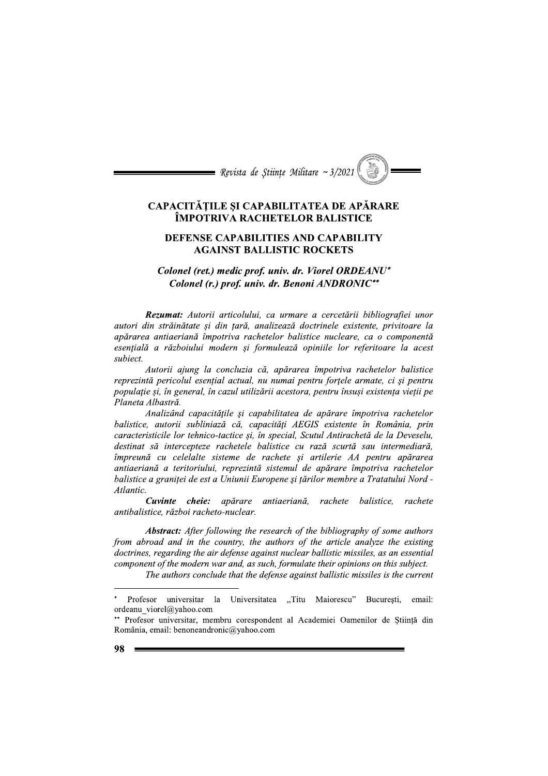# CAPACITAȚILE ȘI CAPABILITATEA DE APARARE IMPOTRIVA RACHETELOR BALISTICE

# DEFENSE CAPABILITIES AND CAPABILITY AGAINST BALLISTIC ROCKETS

# Colonel (r.) prof. univ. dr. Benoni ANDRONIC\*\*

Expossta de ștunțe Multare ~ 3/2021<br>
CAPACITĂȚILE ȘI CAPABILITATEA DE APĂRARE<br>
ÎMPOTRIVA RACHETELOR BALISTICE<br>
DEFENSE CAPABILITIES AND CAPABILITY<br>
AGAINST BALLISTIC ROCKETS<br>
Colonel (re.) medic prof. univ. dr. Viorel ORD **DEFENSE CAPABILITIES AND CAPABILITY<br>
AGAINST BALLISTIC ROCKETS<br>
Colonel (ret.) medic prof. univ. dr. Viorel ORDEANU\*<br>
Colonel (r.) prof. univ. dr. Benoni ANDRONIC\*<br>
Rezumat: Autorii articolului, ca urmare a cercetării bib** 

balistice, autorii subliniază că, capacități AEGIS existente în România, prin caracteristicile lor tehnico-tactice și, în special, Scutul Antirachetă de la Deveselu, destinat să intercepteze rachetele balistice cu rază scurtă sau intermediară, împreună cu celelalte sisteme de rachete și artilerie AA pentru apărarea antiaeriană a teritoriului, reprezintă sistemul de apărare împotriva rachetelor balistice a graniței de est a Uniunii Europene și țărilor membre a Tratatului Nord -<br>Atlantic.

Cuvinte cheie: apărare antiaeriană, rachete balistice, rachete antibalistice, război racheto-nuclear.

A**bstract:** After following the research of the bibliography of some authors from abroad and in the country, the authors of the article analyze the existing doctrines, regarding the air defense against nuclear ballistic missiles, as an essential component of the modern war and, as such, formulate their opinions on this subject.

The authors conclude that the defense against ballistic missiles is the current

 $\overline{a}$ 

man oppress is entirely the Universitatea  ${x}$ , Titu Maiorescu" București, email: ordeanu viorel@yahoo.com

<sup>\*\*</sup> Profesor universitar, membru corespondent al Academiei Oamenilor de Știință din România, email: benoneandronic@yahoo.com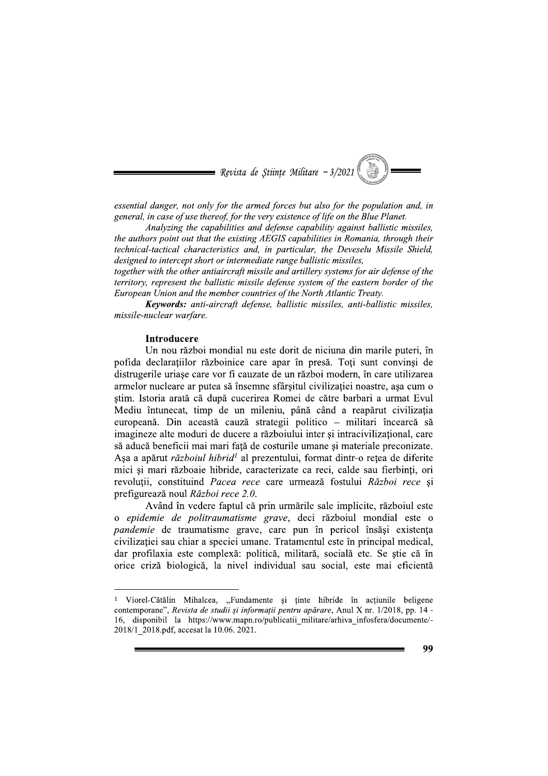

essential danger, not only for the armed forces but also for the population and, in general, in case of use thereof, for the very existence of life on the Blue Planet.

Analyzing the capabilities and defense capability against ballistic missiles, the authors point out that the existing AEGIS capabilities in Romania, through their technical-tactical characteristics and, in particular, the Deveselu Missile Shield, designed to intercept short or intermediate range ballistic missiles,

together with the other antiaircraft missile and artillery systems for air defense of the territory, represent the ballistic missile defense system of the eastern border of the<br>— European Union and the member countries of the North Atlantic Treaty.

**Keywords:** anti-aircraft defense, ballistic missiles, anti-ballistic missiles, missile-nuclear warfare.

#### **Introducere**

 $\overline{a}$ 

essential danger, not only for the a<br>general, in case of use thereof, for the<br>*Analyzing the capabilities*<br>the authors point out that the existit<br>technical-tactical characteristics a<br>designed to intercept short or intern<br>t Un nou război mondial nu este dorit de niciuna din marile puteri, în pofida declarațiilor războinice care apar în presă. Toți sunt convinși de distrugerile uriașe care vor fi cauzate de un război modern, în care utilizarea armelor nucleare ar putea să însemne sfârșitul civilizației noastre, așa cum o stim. Istoria arată că după cucerirea Romei de către barbari a urmat Evul Mediu întunecat, timp de un mileniu, până când a reapărut civilizația europeană. Din această cauză strategii politico – militari încearcă să imagineze alte moduri de ducere a războiului inter și intracivilizațional, care să aducă beneficii mai mari față de costurile umane și materiale preconizate. Așa a apărut *războiul hibrid*<sup>1</sup> al prezentului, format dintr-o rețea de diferite mici și mari războaie hibride, caracterizate ca reci, calde sau fierbinți, ori revoluții, constituind *Pacea rece* care urmează fostului *Razboi rece* și prefigureaza noul *Razboi rece 2.0.* 

Având în vedere faptul că prin urmările sale implicite, războiul este o *epidemie de politraumatisme grave*, deci razboiul mondial este o pandemie de traumatisme grave, care pun in pericol insași existența civilizației sau chiar a speciei umane. Tratamentul este în principal medical, dar profilaxia este complexă: politică, militară, socială etc. Se stie că în orice criză biologică, la nivel individual sau social, este mai eficientă

 $\frac{1}{\text{V}}$  Viorel-Cătălin Mihalcea, "Fundamente și ținte hibride în acțiunile beligene  $\mathop{\rm content}$ , Revista de studii și informații pentru apărare, Anul X nr. 1/2018, pp. 14 -16, disponibil la https://www.mapn.ro/publicatii militare/arhiva infosfera/documente/-2018/1 2018.pdf, accesat la 10.06. 2021.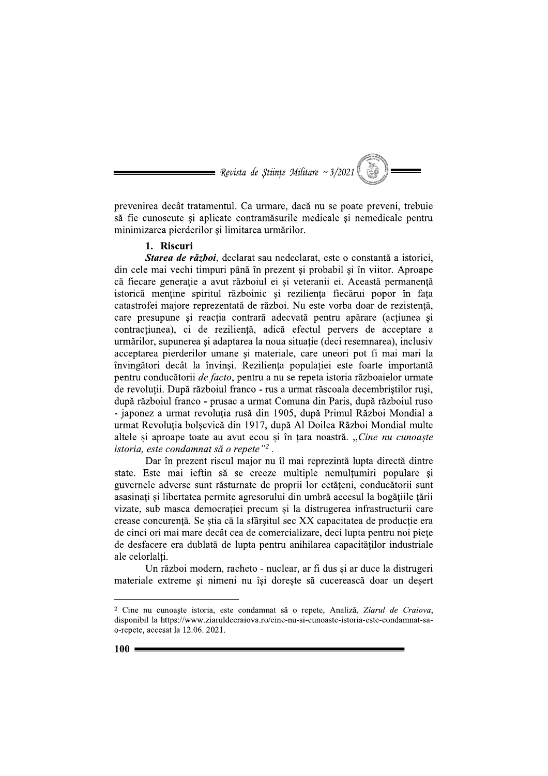$\blacksquare$  Revista de Stiințe Militare ~ 3/2021

prevenirea decât tratamentul. Ca urmare, dacă nu se poate preveni, trebuie să fie cunoscute și aplicate contramăsurile medicale și nemedicale pentru minimizarea pierderilor și limitarea urmărilor.

#### 1. Riscuri

Starea de război, declarat sau nedeclarat, este o constantă a istoriei, din cele mai vechi timpuri până în prezent și probabil și în viitor. Aproape că fiecare generație a avut războiul ei și veteranii ei. Această permanență istorică menține spiritul războinic și reziliența fiecărui popor în fața catastrofei majore reprezentată de război. Nu este vorba doar de rezistență, care presupune și reacția contrară adecvată pentru apărare (acțiunea și contractiunea), ci de reziliență, adică efectul pervers de acceptare a urmărilor, supunerea și adaptarea la noua situație (deci resemnarea), inclusiv acceptarea pierderilor umane și materiale, care uneori pot fi mai mari la învingători decât la învinși. Reziliența populației este foarte importantă pentru conducătorii de facto, pentru a nu se repeta istoria războaielor urmate de revolutii. După războiul franco - rus a urmat răscoala decembristilor rusi, după războiul franco - prusac a urmat Comuna din Paris, după războiul ruso - japonez a urmat revoluția rusă din 1905, după Primul Război Mondial a urmat Revoluția bolșevică din 1917, după Al Doilea Război Mondial multe altele și aproape toate au avut ecou și în țara noastră. "Cine nu cunoaște istoria, este condamnat să o repete"<sup>2</sup>.

Dar în prezent riscul major nu îl mai reprezintă lupta directă dintre state. Este mai ieftin să se creeze multiple nemultumiri populare si guvernele adverse sunt răsturnate de proprii lor cetățeni, conducătorii sunt asasinați și libertatea permite agresorului din umbră accesul la bogățiile țării vizate, sub masca democrației precum și la distrugerea infrastructurii care crease concurentă. Se stia că la sfârșitul sec XX capacitatea de producție era de cinci ori mai mare decât cea de comercializare, deci lupta pentru noi piete de desfacere era dublată de lupta pentru anihilarea capacităților industriale ale celorlalti.

Un război modern, racheto - nuclear, ar fi dus și ar duce la distrugeri materiale extreme și nimeni nu își dorește să cucerească doar un desert

<sup>&</sup>lt;sup>2</sup> Cine nu cunoaște istoria, este condamnat să o repete, Analiză, Ziarul de Craiova, disponibil la https://www.ziaruldecraiova.ro/cine-nu-si-cunoaste-istoria-este-condamnat-sao-repete, accesat la 12.06. 2021.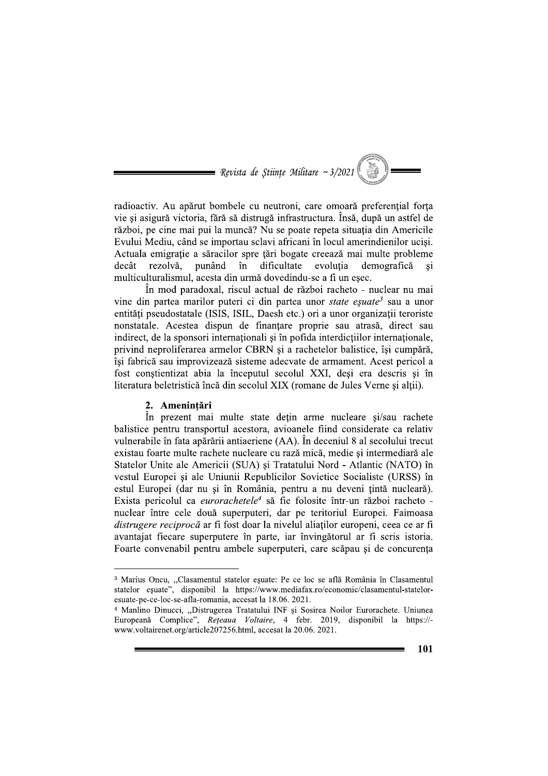$\blacksquare$  Revista de Stiințe Militare ~ 3/2021

radioactiv. Au apărut bombele cu neutroni, care omoară preferențial forța vie și asigură victoria, fără să distrugă infrastructura. Însă, după un astfel de război, pe cine mai pui la muncă? Nu se poate repeta situatia din Americile Evului Mediu, când se importau sclavi africani în locul amerindienilor uciși. Actuala emigratie a săracilor spre tări bogate creează mai multe probleme decât rezolvă. punând în dificultate evoluția demografică si multiculturalismul, acesta din urmă dovedindu-se a fi un eșec.

În mod paradoxal, riscul actual de război racheto - nuclear nu mai vine din partea marilor puteri ci din partea unor state eșuate<sup>3</sup> sau a unor entități pseudostatale (ISIS, ISIL, Daesh etc.) ori a unor organizații teroriste nonstatale. Acestea dispun de finantare proprie sau atrasă, direct sau indirect, de la sponsori internaționali și în pofida interdicțiilor internaționale, privind neproliferarea armelor CBRN și a rachetelor balistice, își cumpără, își fabrică sau improvizează sisteme adecvate de armament. Acest pericol a fost conștientizat abia la începutul secolul XXI, deși era descris și în literatura beletristică încă din secolul XIX (romane de Jules Verne și altii).

## 2. Amenintări

În prezent mai multe state dețin arme nucleare și/sau rachete balistice pentru transportul acestora, avioanele fiind considerate ca relativ vulnerabile în fata apărării antiaeriene (AA). În deceniul 8 al secolului trecut existau foarte multe rachete nucleare cu rază mică, medie și intermediară ale Statelor Unite ale Americii (SUA) și Tratatului Nord - Atlantic (NATO) în vestul Europei și ale Uniunii Republicilor Sovietice Socialiste (URSS) în estul Europei (dar nu și în România, pentru a nu deveni țintă nucleară). Exista pericolul ca eurorachetele<sup>4</sup> să fie folosite într-un război racheto nuclear între cele două superputeri, dar pe teritoriul Europei. Faimoasa *distrugere reciprocă* ar fi fost doar la nivelul aliatilor europeni, ceea ce ar fi avantajat fiecare superputere în parte, iar învingătorul ar fi scris istoria. Foarte convenabil pentru ambele superputeri, care scăpau și de concurența

<sup>&</sup>lt;sup>3</sup> Marius Oncu, "Clasamentul statelor esuate: Pe ce loc se află România în Clasamentul statelor eșuate", disponibil la https://www.mediafax.ro/economic/clasamentul-stateloresuate-pe-ce-loc-se-afla-romania, accesat la 18.06. 2021.

<sup>&</sup>lt;sup>4</sup> Manlino Dinucci, "Distrugerea Tratatului INF și Sosirea Noilor Eurorachete. Uniunea Europeană Complice", Rețeaua Voltaire, 4 febr. 2019, disponibil la https://www.voltairenet.org/article207256.html, accesat la 20.06. 2021.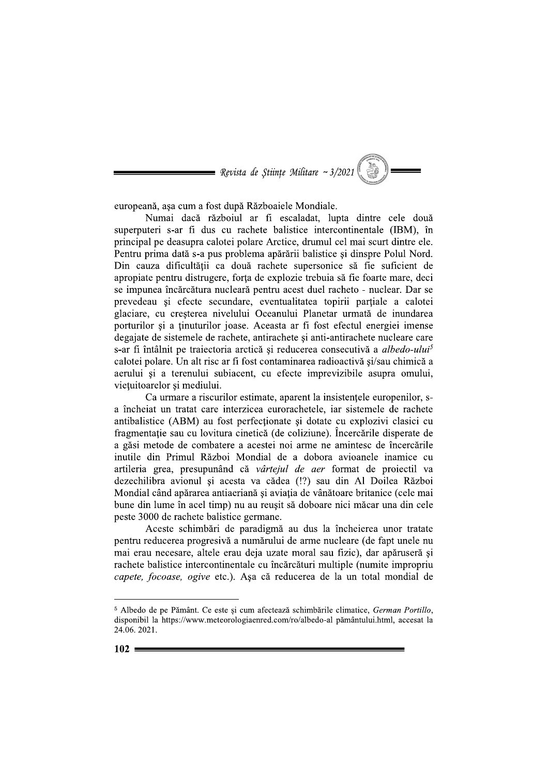$\blacksquare$  Revista de Stiințe Militare ~ 3/2021

europeană, așa cum a fost după Războaiele Mondiale.

Numai dacă războiul ar fi escaladat, lupta dintre cele două superputeri s-ar fi dus cu rachete balistice intercontinentale (IBM), în principal pe deasupra calotei polare Arctice, drumul cel mai scurt dintre ele. Pentru prima dată s-a pus problema apărării balistice și dinspre Polul Nord. Din cauza dificultății ca două rachete supersonice să fie suficient de apropiate pentru distrugere, forța de explozie trebuia să fie foarte mare, deci se impunea încărcătura nucleară pentru acest duel racheto - nuclear. Dar se prevedeau și efecte secundare, eventualitatea topirii parțiale a calotei glaciare, cu creșterea nivelului Oceanului Planetar urmată de inundarea porturilor si a tinuturilor joase. Aceasta ar fi fost efectul energiei imense degajate de sistemele de rachete, antirachete și anti-antirachete nucleare care s-ar fi întâlnit pe traiectoria arctică și reducerea consecutivă a albedo-ului<sup>5</sup> calotei polare. Un alt risc ar fi fost contaminarea radioactivă și/sau chimică a aerului si a terenului subiacent, cu efecte imprevizibile asupra omului, vietuitoarelor si mediului.

Ca urmare a riscurilor estimate, aparent la insistentele europenilor, sa încheiat un tratat care interzicea eurorachetele, iar sistemele de rachete antibalistice (ABM) au fost perfectionate si dotate cu explozivi clasici cu fragmentație sau cu lovitura cinetică (de coliziune). Încercările disperate de a găsi metode de combatere a acestei noi arme ne amintesc de încercările inutile din Primul Război Mondial de a dobora avioanele inamice cu artileria grea, presupunând că vârtejul de aer format de proiectil va dezechilibra avionul și acesta va cădea (!?) sau din Al Doilea Război Mondial când apărarea antiaeriană și aviația de vânătoare britanice (cele mai bune din lume în acel timp) nu au reusit să doboare nici măcar una din cele peste 3000 de rachete balistice germane.

Aceste schimbări de paradigmă au dus la încheierea unor tratate pentru reducerea progresivă a numărului de arme nucleare (de fapt unele nu mai erau necesare, altele erau deja uzate moral sau fizic), dar apăruseră și rachete balistice intercontinentale cu încărcături multiple (numite impropriu capete, focoase, ogive etc.). Asa că reducerea de la un total mondial de

<sup>&</sup>lt;sup>5</sup> Albedo de pe Pământ. Ce este și cum afectează schimbările climatice, German Portillo, disponibil la https://www.meteorologiaenred.com/ro/albedo-al pământului.html, accesat la 24.06.2021.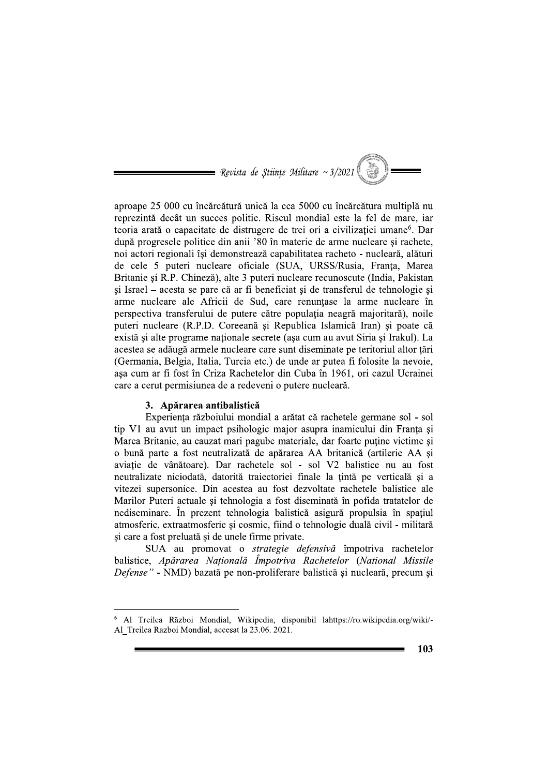$\blacksquare$  Revista de Stiințe Militare ~ 3/2021

aproape 25 000 cu încărcătură unică la cca 5000 cu încărcătura multiplă nu reprezintă decât un succes politic. Riscul mondial este la fel de mare, iar teoria arată o capacitate de distrugere de trei ori a civilizatiei umane<sup>6</sup>. Dar după progresele politice din anii '80 în materie de arme nucleare și rachete, noi actori regionali își demonstrează capabilitatea racheto - nucleară, alături de cele 5 puteri nucleare oficiale (SUA, URSS/Rusia, Franța, Marea Britanie și R.P. Chineză), alte 3 puteri nucleare recunoscute (India, Pakistan si Israel – acesta se pare că ar fi beneficiat și de transferul de tehnologie și arme nucleare ale Africii de Sud, care renuntase la arme nucleare în perspectiva transferului de putere către populația neagră majoritară), noile puteri nucleare (R.P.D. Coreeană și Republica Islamică Iran) și poate că există și alte programe naționale secrete (așa cum au avut Siria și Irakul). La acestea se adăugă armele nucleare care sunt diseminate pe teritoriul altor țări (Germania, Belgia, Italia, Turcia etc.) de unde ar putea fi folosite la nevoie, așa cum ar fi fost în Criza Rachetelor din Cuba în 1961, ori cazul Ucrainei care a cerut permisiunea de a redeveni o putere nucleară.

#### 3. Apărarea antibalistică

Experiența războiului mondial a arătat că rachetele germane sol - sol tip V1 au avut un impact psihologic major asupra inamicului din Franța și Marea Britanie, au cauzat mari pagube materiale, dar foarte putine victime si o bună parte a fost neutralizată de apărarea AA britanică (artilerie AA si aviație de vânătoare). Dar rachetele sol - sol V2 balistice nu au fost neutralizate niciodată, datorită traiectoriei finale la țintă pe verticală și a vitezei supersonice. Din acestea au fost dezvoltate rachetele balistice ale Marilor Puteri actuale și tehnologia a fost diseminată în pofida tratatelor de nediseminare. În prezent tehnologia balistică asigură propulsia în spațiul atmosferic, extraatmosferic și cosmic, fiind o tehnologie duală civil - militară și care a fost preluată și de unele firme private.

SUA au promovat o strategie defensivă împotriva rachetelor balistice, Apărarea Natională Împotriva Rachetelor (National Missile Defense" - NMD) bazată pe non-proliferare balistică și nucleară, precum și

<sup>&</sup>lt;sup>6</sup> Al Treilea Război Mondial, Wikipedia, disponibil lahttps://ro.wikipedia.org/wiki/-Al Treilea Razboi Mondial, accesat la 23.06. 2021.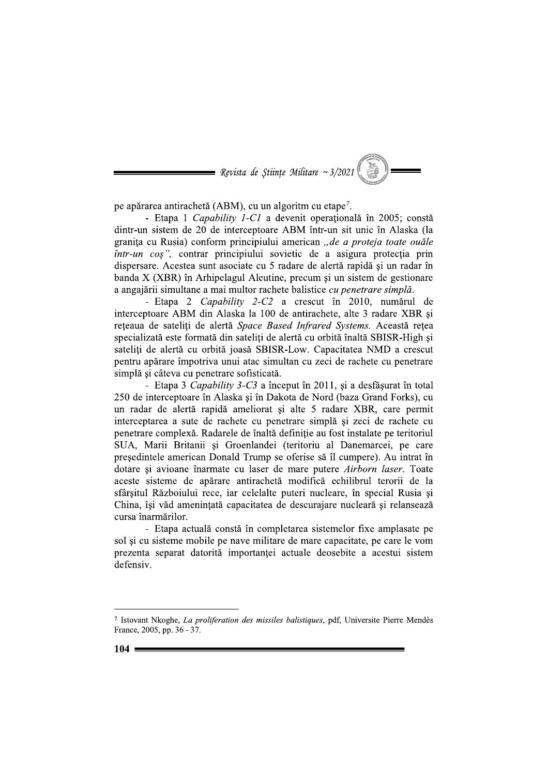$\blacksquare$  Revista de Stiințe Militare ~ 3/2021

pe apărarea antirachetă (ABM), cu un algoritm cu etape<sup>7</sup>.

- Etapa 1 Capability 1-C1 a devenit operatională în 2005; constă dintr-un sistem de 20 de interceptoare ABM într-un sit unic în Alaska (la granita cu Rusia) conform principiului american "de a proteja toate ouăle într-un coș", contrar principiului sovietic de a asigura protecția prin dispersare. Acestea sunt asociate cu 5 radare de alertă rapidă și un radar în banda X (XBR) în Arhipelagul Aleutine, precum și un sistem de gestionare a angajării simultane a mai multor rachete balistice *cu penetrare simplă*.

- Etapa 2 Capability 2-C2 a crescut în 2010, numărul de interceptoare ABM din Alaska la 100 de antirachete, alte 3 radare XBR și reteaua de sateliti de alertă Space Based Infrared Systems. Această rețea specializată este formată din sateliți de alertă cu orbită înaltă SBISR-High și sateliti de alertă cu orbită joasă SBISR-Low. Capacitatea NMD a crescut pentru apărare împotriva unui atac simultan cu zeci de rachete cu penetrare simplă și câteva cu penetrare sofisticată.

- Etapa 3 Capability 3-C3 a început în 2011, și a desfăsurat în total 250 de interceptoare în Alaska și în Dakota de Nord (baza Grand Forks), cu un radar de alertă rapidă ameliorat și alte 5 radare XBR, care permit interceptarea a sute de rachete cu penetrare simplă și zeci de rachete cu penetrare complexă. Radarele de înaltă definiție au fost instalate pe teritoriul SUA, Marii Britanii și Groenlandei (teritoriu al Danemarcei, pe care președintele american Donald Trump se oferise să îl cumpere). Au intrat în dotare și avioane înarmate cu laser de mare putere Airborn laser. Toate aceste sisteme de apărare antirachetă modifică echilibrul terorii de la sfârsitul Războiului rece, iar celelalte puteri nucleare, în special Rusia și China, își văd amenințată capacitatea de descurajare nucleară și relansează cursa înarmărilor.

- Etapa actuală constă în completarea sistemelor fixe amplasate pe sol și cu sisteme mobile pe nave militare de mare capacitate, pe care le vom prezenta separat datorită importanței actuale deosebite a acestui sistem defensiv.

<sup>7</sup> Istovant Nkoghe, La proliferation des missiles balistiques, pdf, Universite Pierre Mendès France, 2005, pp. 36 - 37.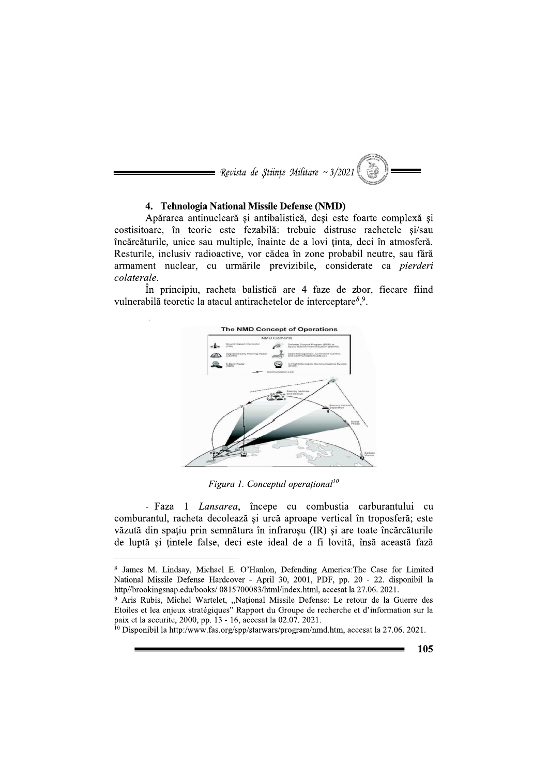

# 4. Tehnologia National Missile Defense (NMD)

Apărarea antinucleară și antibalistică, deși este foarte complexă și costisitoare, în teorie este fezabilă: trebuie distruse rachetele si/sau încărcăturile, unice sau multiple, înainte de a lovi ținta, deci în atmosferă. Resturile, inclusiv radioactive, vor cădea în zone probabil neutre, sau fără armament nuclear, cu urmările previzibile, considerate ca pierderi colaterale.

În principiu, racheta balistică are 4 faze de zbor, fiecare fiind vulnerabilă teoretic la atacul antirachetelor de interceptare<sup>8,9</sup>.



Figura 1. Conceptul operational<sup>10</sup>

- Faza 1 Lansarea, începe cu combustia carburantului cu comburantul, racheta decolează și urcă aproape vertical în troposferă; este văzută din spatiu prin semnătura în infrarosu (IR) și are toate încărcăturile de luptă și țintele false, deci este ideal de a fi lovită, însă această fază

<sup>8</sup> James M. Lindsay, Michael E. O'Hanlon, Defending America: The Case for Limited National Missile Defense Hardcover - April 30, 2001, PDF, pp. 20 - 22. disponibil la http//brookingsnap.edu/books/ 0815700083/html/index.html, accesat la 27.06. 2021.

<sup>&</sup>lt;sup>9</sup> Aris Rubis, Michel Wartelet, "National Missile Defense: Le retour de la Guerre des Etoiles et lea enjeux stratégiques" Rapport du Groupe de recherche et d'information sur la paix et la securite, 2000, pp. 13 - 16, accesat la 02.07. 2021.

<sup>&</sup>lt;sup>10</sup> Disponibil la http:/www.fas.org/spp/starwars/program/nmd.htm, accesat la 27.06. 2021.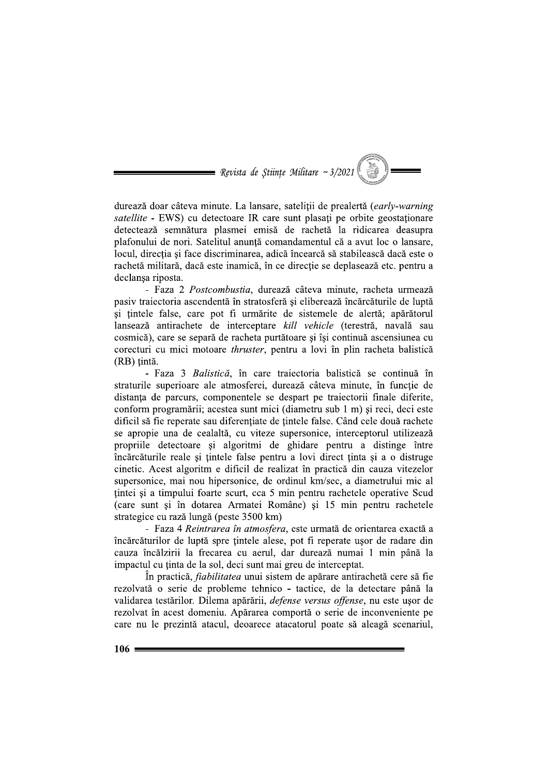$\blacksquare$  Revista de Stiințe Militare ~ 3/2021

durează doar câteva minute. La lansare, sateliții de prealertă (early-warning satellite - EWS) cu detectoare IR care sunt plasați pe orbite geostaționare detectează semnătura plasmei emisă de rachetă la ridicarea deasupra plafonului de nori. Satelitul anunță comandamentul că a avut loc o lansare, locul, directia și face discriminarea, adică încearcă să stabilească dacă este o rachetă militară, dacă este inamică, în ce direcție se deplasează etc. pentru a declansa riposta.

- Faza 2 *Postcombustia*, durează câteva minute, racheta urmează pasiv traiectoria ascendentă în stratosferă și eliberează încărcăturile de luptă și țintele false, care pot fi urmărite de sistemele de alertă; apărătorul lansează antirachete de interceptare kill vehicle (terestră, navală sau cosmică), care se separă de racheta purtătoare și își continuă ascensiunea cu corecturi cu mici motoare *thruster*, pentru a lovi în plin racheta balistică (RB) tintă.

- Faza 3 Balistică, în care traiectoria balistică se continuă în straturile superioare ale atmosferei, durează câteva minute, în functie de distanța de parcurs, componentele se despart pe traiectorii finale diferite, conform programării; acestea sunt mici (diametru sub 1 m) si reci, deci este dificil să fie reperate sau diferentiate de tintele false. Când cele două rachete se apropie una de cealaltă, cu viteze supersonice, interceptorul utilizează propriile detectoare și algoritmi de ghidare pentru a distinge între încărcăturile reale și țintele false pentru a lovi direct ținta și a o distruge cinetic. Acest algoritm e dificil de realizat în practică din cauza vitezelor supersonice, mai nou hipersonice, de ordinul km/sec, a diametrului mic al tintei și a timpului foarte scurt, cca 5 min pentru rachetele operative Scud (care sunt și în dotarea Armatei Române) și 15 min pentru rachetele strategice cu rază lungă (peste 3500 km)

- Faza 4 Reintrarea în atmosfera, este urmată de orientarea exactă a încărcăturilor de luptă spre țintele alese, pot fi reperate usor de radare din cauza încălzirii la frecarea cu aerul, dar durează numai 1 min până la impactul cu ținta de la sol, deci sunt mai greu de interceptat.

In practică, *fiabilitatea* unui sistem de apărare antirachetă cere să fie rezolvată o serie de probleme tehnico - tactice, de la detectare până la validarea testărilor. Dilema apărării, defense versus offense, nu este ușor de rezolvat în acest domeniu. Apărarea comportă o serie de inconveniente pe care nu le prezintă atacul, deoarece atacatorul poate să aleagă scenariul,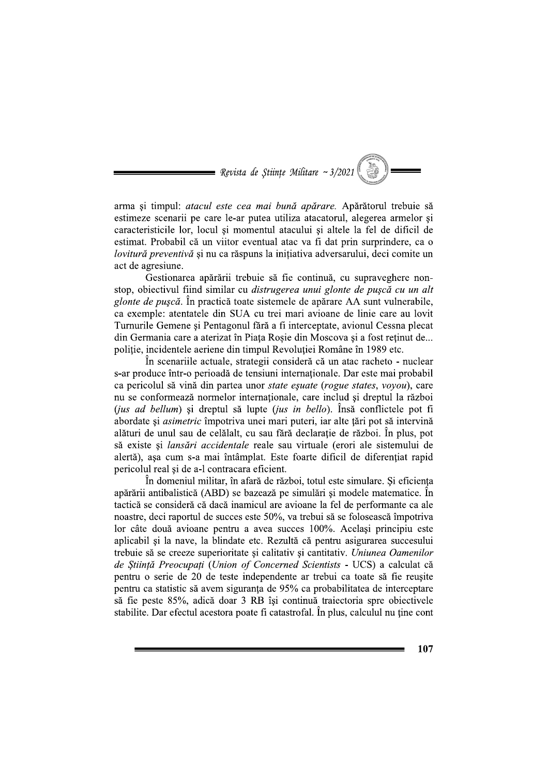$\blacksquare$  Revista de Stiințe Militare ~ 3/2021

arma și timpul: atacul este cea mai bună apărare. Apărătorul trebuie să estimeze scenarii pe care le-ar putea utiliza atacatorul, alegerea armelor și caracteristicile lor, locul si momentul atacului si altele la fel de dificil de estimat. Probabil că un viitor eventual atac va fi dat prin surprindere, ca o lovitură preventivă și nu ca răspuns la inițiativa adversarului, deci comite un act de agresiune.

Gestionarea apărării trebuie să fie continuă, cu supraveghere nonstop, objectivul fiind similar cu *distrugerea unui glonte de puscă cu un alt* glonte de pușcă. În practică toate sistemele de apărare AA sunt vulnerabile, ca exemple: atentatele din SUA cu trei mari avioane de linie care au lovit Turnurile Gemene și Pentagonul fără a fi interceptate, avionul Cessna plecat din Germania care a aterizat în Piața Roșie din Moscova și a fost reținut de... politie, incidentele aeriene din timpul Revoluției Române în 1989 etc.

În scenariile actuale, strategii consideră că un atac racheto - nuclear s-ar produce într-o perioadă de tensiuni internaționale. Dar este mai probabil ca pericolul să vină din partea unor *state esuate (rogue states, vovou*), care nu se conformează normelor internaționale, care includ și dreptul la război (jus ad bellum) și dreptul să lupte (jus in bello). Însă conflictele pot fi abordate și *asimetric* împotriva unei mari puteri, iar alte tări pot să intervină alături de unul sau de celălalt, cu sau fără declarație de război. În plus, pot să existe și *lansări accidentale* reale sau virtuale (erori ale sistemului de alertă), așa cum s-a mai întâmplat. Este foarte dificil de diferențiat rapid pericolul real și de a-l contracara eficient.

În domeniul militar, în afară de război, totul este simulare. Si eficienta apărării antibalistică (ABD) se bazează pe simulări și modele matematice. În tactică se consideră că dacă inamicul are avioane la fel de performante ca ale noastre, deci raportul de succes este 50%, va trebui să se folosească împotriva lor câte două avioane pentru a avea succes 100%. Același principiu este aplicabil și la nave, la blindate etc. Rezultă că pentru asigurarea succesului trebuie să se creeze superioritate și calitativ și cantitativ. Uniunea Oamenilor de Știință Preocupați (Union of Concerned Scientists - UCS) a calculat că pentru o serie de 20 de teste independente ar trebui ca toate să fie reusite pentru ca statistic să avem siguranța de 95% ca probabilitatea de interceptare să fie peste 85%, adică doar 3 RB își continuă traiectoria spre obiectivele stabilite. Dar efectul acestora poate fi catastrofal. In plus, calculul nu tine cont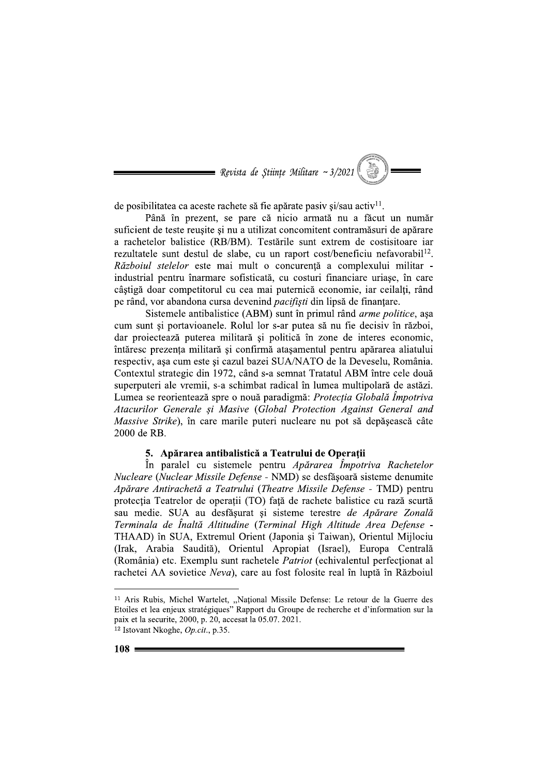$\blacksquare$  Revista de Stiințe Militare ~ 3/2021

de posibilitatea ca aceste rachete să fie apărate pasiv și/sau activ<sup>11</sup>.

Până în prezent, se pare că nicio armată nu a făcut un număr suficient de teste reusite si nu a utilizat concomitent contramăsuri de apărare a rachetelor balistice (RB/BM). Testările sunt extrem de costisitoare iar rezultatele sunt destul de slabe, cu un raport cost/beneficiu nefavorabil<sup>12</sup>. Războiul stelelor este mai mult o concurență a complexului militar industrial pentru înarmare sofisticată, cu costuri financiare uriașe, în care câstigă doar competitorul cu cea mai puternică economie, iar ceilalti, rând pe rând, vor abandona cursa devenind *pacifiști* din lipsă de finanțare.

Sistemele antibalistice (ABM) sunt în primul rând *arme politice*, așa cum sunt si portavioanele. Rolul lor s-ar putea să nu fie decisiv în război, dar proiectează puterea militară și politică în zone de interes economic, întăresc prezenta militară și confirmă atasamentul pentru apărarea aliatului respectiv, asa cum este și cazul bazei SUA/NATO de la Deveselu, România. Contextul strategic din 1972, când s-a semnat Tratatul ABM între cele două superputeri ale vremii, s-a schimbat radical în lumea multipolară de astăzi. Lumea se reorientează spre o nouă paradigmă: Protecția Globală Împotriva Atacurilor Generale si Masive (Global Protection Against General and Massive Strike), în care marile puteri nucleare nu pot să depăsească câte 2000 de RB.

## 5. Apărarea antibalistică a Teatrului de Operații

În paralel cu sistemele pentru Apărarea Împotriva Rachetelor Nucleare (Nuclear Missile Defense - NMD) se desfășoară sisteme denumite Apărare Antirachetă a Teatrului (Theatre Missile Defense - TMD) pentru protecția Teatrelor de operații (TO) față de rachete balistice cu rază scurtă sau medie. SUA au desfășurat și sisteme terestre de Apărare Zonală Terminala de Înaltă Altitudine (Terminal High Altitude Area Defense -THAAD) în SUA, Extremul Orient (Japonia și Taiwan), Orientul Mijlociu (Irak, Arabia Saudită), Orientul Apropiat (Israel), Europa Centrală (România) etc. Exemplu sunt rachetele *Patriot* (echivalentul perfectionat al rachetei AA sovietice Neva), care au fost folosite real în luptă în Războiul

<sup>&</sup>lt;sup>11</sup> Aris Rubis, Michel Wartelet, "Național Missile Defense: Le retour de la Guerre des Etoiles et lea enjeux stratégiques" Rapport du Groupe de recherche et d'information sur la paix et la securite, 2000, p. 20, accesat la 05.07. 2021. <sup>12</sup> Istovant Nkoghe, Op.cit., p.35.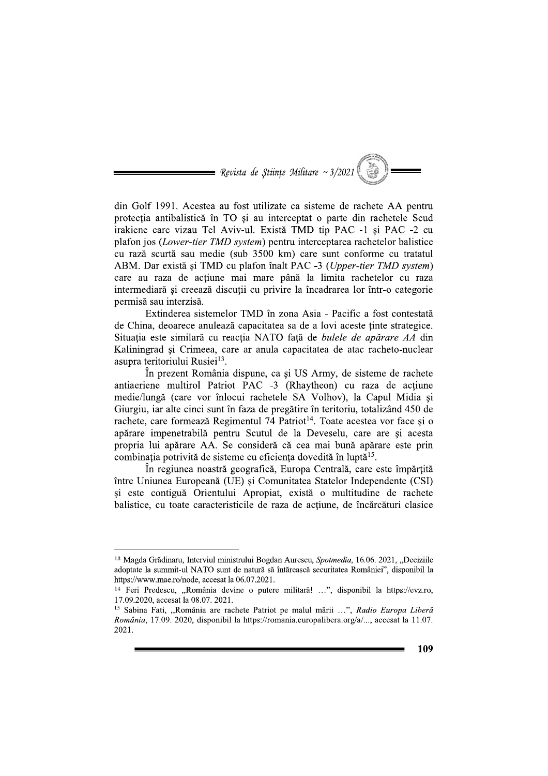$\blacksquare$  Revista de Stiințe Militare ~ 3/2021

din Golf 1991. Acestea au fost utilizate ca sisteme de rachete AA pentru protectia antibalistică în TO și au interceptat o parte din rachetele Scud irakiene care vizau Tel Aviv-ul. Există TMD tip PAC -1 și PAC -2 cu plafon jos (Lower-tier TMD system) pentru interceptarea rachetelor balistice cu rază scurtă sau medie (sub 3500 km) care sunt conforme cu tratatul ABM. Dar există și TMD cu plafon înalt PAC -3 (Upper-tier TMD system) care au raza de acțiune mai mare până la limita rachetelor cu raza intermediară și creează discuții cu privire la încadrarea lor într-o categorie permisă sau interzisă.

Extinderea sistemelor TMD în zona Asia - Pacific a fost contestată de China, deoarece anulează capacitatea sa de a lovi aceste tinte strategice. Situația este similară cu reacția NATO față de bulele de apărare AA din Kaliningrad si Crimeea, care ar anula capacitatea de atac racheto-nuclear asupra teritoriului Rusiei<sup>13</sup>.

În prezent România dispune, ca și US Army, de sisteme de rachete antiaeriene multirol Patriot PAC -3 (Rhaytheon) cu raza de actiune medie/lungă (care vor înlocui rachetele SA Volhov), la Capul Midia și Giurgiu, iar alte cinci sunt în faza de pregătire în teritoriu, totalizând 450 de rachete, care formează Regimentul 74 Patriot<sup>14</sup>. Toate acestea vor face și o apărare impenetrabilă pentru Scutul de la Deveselu, care are și acesta propria lui apărare AA. Se consideră că cea mai bună apărare este prin combinația potrivită de sisteme cu eficiența dovedită în luptă<sup>15</sup>.

În regiunea noastră geografică, Europa Centrală, care este împărțită între Uniunea Europeană (UE) și Comunitatea Statelor Independente (CSI) și este contiguă Orientului Apropiat, există o multitudine de rachete balistice, cu toate caracteristicile de raza de acțiune, de încărcături clasice

<sup>&</sup>lt;sup>13</sup> Magda Grădinaru, Interviul ministrului Bogdan Aurescu, Spotmedia, 16.06. 2021, "Deciziile adoptate la summit-ul NATO sunt de natură să întărească securitatea României", disponibil la https://www.mae.ro/node, accesat la 06.07.2021.

<sup>&</sup>lt;sup>14</sup> Feri Predescu, "România devine o putere militară! ...", disponibil la https://evz.ro, 17.09.2020, accesat la 08.07. 2021.

<sup>&</sup>lt;sup>15</sup> Sabina Fati, "România are rachete Patriot pe malul mării ...", Radio Europa Liberă România, 17.09. 2020, disponibil la https://romania.europalibera.org/a/..., accesat la 11.07. 2021.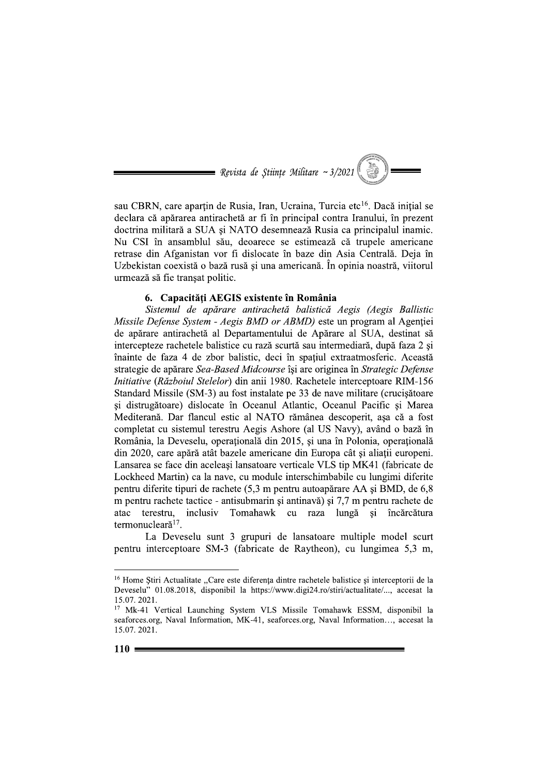

sau CBRN, care aparțin de Rusia, Iran, Ucraina, Turcia etc<sup>16</sup>. Dacă inițial se declara că apărarea antirachetă ar fi în principal contra Iranului, în prezent doctrina militară a SUA și NATO desemnează Rusia ca principalul inamic. Nu CSI în ansamblul său, deoarece se estimează că trupele americane retrase din Afganistan vor fi dislocate în baze din Asia Centrală. Deja în Uzbekistan coexistă o bază rusă și una americană. În opinia noastră, viitorul urmează să fie tranșat politic.

# 6. Capacități AEGIS existente în România

Sistemul de apărare antirachetă balistică Aegis (Aegis Ballistic Missile Defense System - Aegis BMD or ABMD) este un program al Agentiei de apărare antirachetă al Departamentului de Apărare al SUA, destinat să intercepteze rachetele balistice cu rază scurtă sau intermediară, după faza 2 și înainte de faza 4 de zbor balistic, deci în spațiul extraatmosferic. Această strategie de apărare Sea-Based Midcourse își are originea în Strategic Defense Initiative (Războiul Stelelor) din anii 1980. Rachetele interceptoare RIM-156 Standard Missile (SM-3) au fost instalate pe 33 de nave militare (crucisătoare și distrugătoare) dislocate în Oceanul Atlantic, Oceanul Pacific și Marea Mediterană. Dar flancul estic al NATO rămânea descoperit, așa că a fost completat cu sistemul terestru Aegis Ashore (al US Navy), având o bază în România, la Deveselu, operațională din 2015, și una în Polonia, operațională din 2020, care apără atât bazele americane din Europa cât și aliatii europeni. Lansarea se face din aceleași lansatoare verticale VLS tip MK41 (fabricate de Lockheed Martin) ca la nave, cu module interschimbabile cu lungimi diferite pentru diferite tipuri de rachete (5,3 m pentru autoapărare AA și BMD, de 6,8 m pentru rachete tactice - antisubmarin și antinavă) și 7,7 m pentru rachete de inclusiv Tomahawk cu raza lungă și încărcătura atac terestru, termonucleară<sup>17</sup>.

La Deveselu sunt 3 grupuri de lansatoare multiple model scurt pentru interceptoare SM-3 (fabricate de Raytheon), cu lungimea 5,3 m,

<sup>&</sup>lt;sup>16</sup> Home Stiri Actualitate "Care este diferenta dintre rachetele balistice si interceptorii de la Deveselu" 01.08.2018, disponibil la https://www.digi24.ro/stiri/actualitate/..., accesat la 15.07.2021.

<sup>&</sup>lt;sup>17</sup> Mk-41 Vertical Launching System VLS Missile Tomahawk ESSM, disponibil la seaforces.org, Naval Information, MK-41, seaforces.org, Naval Information..., accesat la 15.07.2021.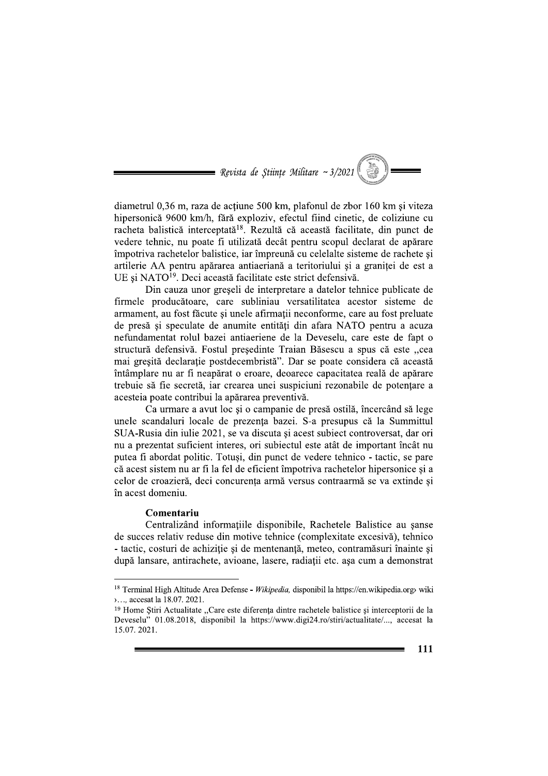$\blacksquare$  Revista de Stiințe Militare ~ 3/2021

diametrul 0,36 m, raza de acțiune 500 km, plafonul de zbor 160 km și viteza hipersonică 9600 km/h, fără exploziv, efectul fiind cinetic, de coliziune cu racheta balistică interceptată<sup>18</sup>. Rezultă că această facilitate, din punct de vedere tehnic, nu poate fi utilizată decât pentru scopul declarat de apărare împotriva rachetelor balistice, iar împreună cu celelalte sisteme de rachete si artilerie AA pentru apărarea antiaeriană a teritoriului și a graniței de est a UE și NATO<sup>19</sup>. Deci această facilitate este strict defensivă.

Din cauza unor greseli de interpretare a datelor tehnice publicate de firmele producătoare, care subliniau versatilitatea acestor sisteme de armament, au fost făcute și unele afirmații neconforme, care au fost preluate de presă și speculate de anumite entități din afara NATO pentru a acuza nefundamentat rolul bazei antiaeriene de la Deveselu, care este de fapt o structură defensivă. Fostul presedinte Traian Băsescu a spus că este "cea mai greșită declarație postdecembristă". Dar se poate considera că această întâmplare nu ar fi neapărat o eroare, deoarece capacitatea reală de apărare trebuie să fie secretă, iar crearea unei suspiciuni rezonabile de potentare a acesteia poate contribui la apărarea preventivă.

Ca urmare a avut loc si o campanie de presă ostilă, încercând să lege unele scandaluri locale de prezenta bazei. S-a presupus că la Summittul SUA-Rusia din iulie 2021, se va discuta și acest subiect controversat, dar ori nu a prezentat suficient interes, ori subiectul este atât de important încât nu putea fi abordat politic. Totuși, din punct de vedere tehnico - tactic, se pare că acest sistem nu ar fi la fel de eficient împotriva rachetelor hipersonice și a celor de croazieră, deci concurenta armă versus contraarmă se va extinde si în acest domeniu.

# Comentariu

Centralizând informatiile disponibile, Rachetele Balistice au sanse de succes relativ reduse din motive tehnice (complexitate excesivă), tehnico - tactic, costuri de achiziție și de mentenanță, meteo, contramăsuri înainte și după lansare, antirachete, avioane, lasere, radiații etc. asa cum a demonstrat

<sup>&</sup>lt;sup>18</sup> Terminal High Altitude Area Defense - Wikipedia, disponibil la https://en.wikipedia.orgy wiki >..., accesat la 18.07. 2021.

<sup>&</sup>lt;sup>19</sup> Home Stiri Actualitate "Care este diferența dintre rachetele balistice și interceptorii de la Deveselu" 01.08.2018, disponibil la https://www.digi24.ro/stiri/actualitate/..., accesat la 15.07.2021.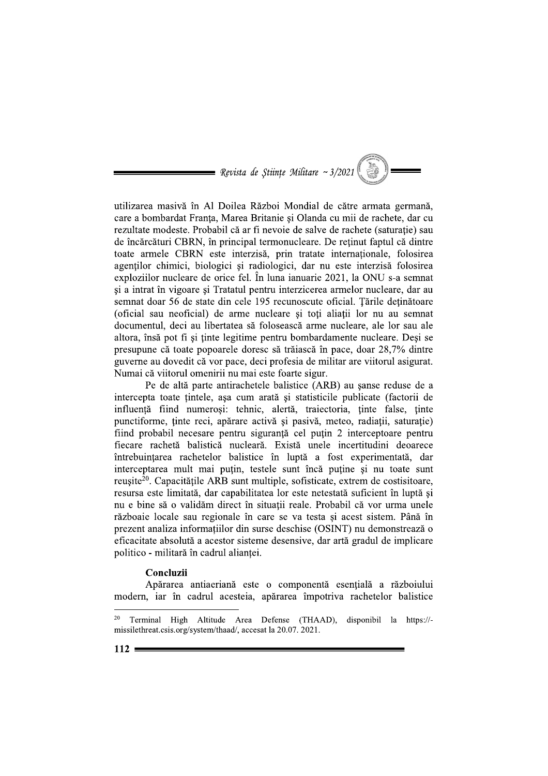= Revista de Stiințe Militare ~  $3/2021$ 

utilizarea masivă în Al Doilea Război Mondial de către armata germană, care a bombardat Franta, Marea Britanie și Olanda cu mii de rachete, dar cu rezultate modeste. Probabil că ar fi nevoie de salve de rachete (saturatie) sau de încărcături CBRN, în principal termonucleare. De reținut faptul că dintre toate armele CBRN este interzisă, prin tratate internaționale, folosirea agenților chimici, biologici și radiologici, dar nu este interzisă folosirea exploziilor nucleare de orice fel. În luna ianuarie 2021, la ONU s-a semnat si a intrat în vigoare și Tratatul pentru interzicerea armelor nucleare, dar au semnat doar 56 de state din cele 195 recunoscute oficial. Țările deținătoare (oficial sau neoficial) de arme nucleare și toți aliații lor nu au semnat documentul, deci au libertatea să folosească arme nucleare, ale lor sau ale altora, însă pot fi și ținte legitime pentru bombardamente nucleare. Deși se presupune că toate popoarele doresc să trăiască în pace, doar 28,7% dintre guverne au dovedit că vor pace, deci profesia de militar are viitorul asigurat. Numai că viitorul omenirii nu mai este foarte sigur.

Pe de altă parte antirachetele balistice (ARB) au sanse reduse de a intercepta toate tintele, așa cum arată și statisticile publicate (factorii de influentă fiind numerosi: tehnic, alertă, traiectoria, tinte false, tinte punctiforme, tinte reci, apărare activă și pasivă, meteo, radiatii, saturatie) fiind probabil necesare pentru siguranță cel puțin 2 interceptoare pentru fiecare rachetă balistică nucleară. Există unele incertitudini deoarece întrebuințarea rachetelor balistice în luptă a fost experimentată, dar interceptarea mult mai puțin, testele sunt încă puține și nu toate sunt reusite<sup>20</sup>. Capacitățile ARB sunt multiple, sofisticate, extrem de costisitoare, resursa este limitată, dar capabilitatea lor este netestată suficient în luptă și nu e bine să o validăm direct în situatii reale. Probabil că vor urma unele războaie locale sau regionale în care se va testa și acest sistem. Până în prezent analiza informațiilor din surse deschise (OSINT) nu demonstrează o eficacitate absolută a acestor sisteme desensive, dar artă gradul de implicare politico - militară în cadrul alianței.

### Concluzii

Apărarea antiaeriană este o componentă esențială a războiului modern, iar în cadrul acesteia, apărarea împotriva rachetelor balistice

Terminal High Altitude Area Defense (THAAD), disponibil la https://missilethreat.csis.org/system/thaad/, accesat la 20.07. 2021.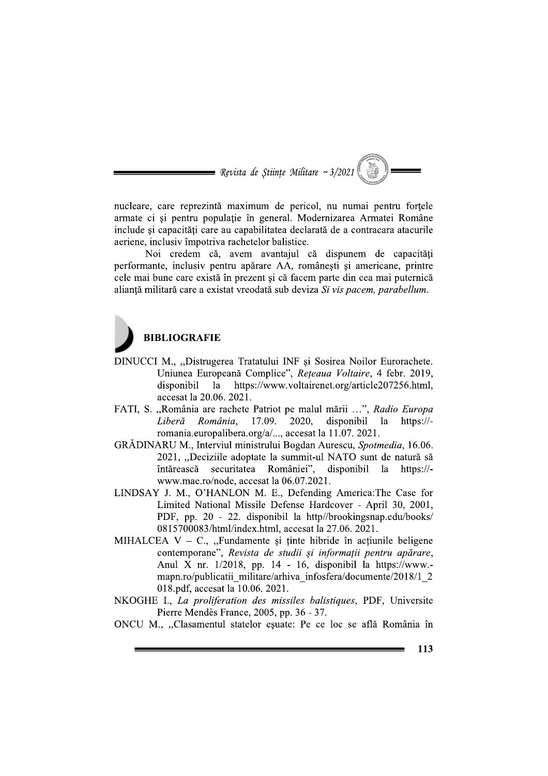$\equiv$  Revista de Stiințe Militare ~ 3/2021

nucleare, care reprezintă maximum de pericol, nu numai pentru forțele armate ci si pentru populatie în general. Modernizarea Armatei Române include si capacităti care au capabilitatea declarată de a contracara atacurile aeriene, inclusiv împotriva rachetelor balistice.

Noi credem că, avem avantajul că dispunem de capacități performante, inclusiv pentru apărare AA, românești și americane, printre cele mai bune care există în prezent și că facem parte din cea mai puternică alianță militară care a existat vreodată sub deviza Si vis pacem, parabellum.



# **BIBLIOGRAFIE**

- DINUCCI M., "Distrugerea Tratatului INF și Sosirea Noilor Eurorachete. Uniunea Europeană Complice", Rețeaua Voltaire, 4 febr. 2019, https://www.voltairenet.org/article207256.html, disponibil la accesat la 20.06. 2021.
- FATI, S. "România are rachete Patriot pe malul mării ...", Radio Europa 17.09. Liberă România, 2020. disponibil la  $https://$ romania.europalibera.org/a/..., accesat la 11.07. 2021.
- GRĂDINARU M., Interviul ministrului Bogdan Aurescu, Spotmedia, 16.06. 2021, "Deciziile adoptate la summit-ul NATO sunt de natură să României", disponibil întărească securitatea  $l$ a https://www.mae.ro/node, accesat la 06.07.2021.
- LINDSAY J. M., O'HANLON M. E., Defending America: The Case for Limited National Missile Defense Hardcover - April 30, 2001, PDF, pp. 20 - 22. disponibil la http//brookingsnap.edu/books/ 0815700083/html/index.html, accesat la 27.06. 2021.
- MIHALCEA  $V C$ ., "Fundamente și ținte hibride în acțiunile beligene contemporane", Revista de studii și informații pentru apărare, Anul X nr.  $1/2018$ , pp. 14 - 16, disponibil la https://www.mapn.ro/publicatii militare/arhiva infosfera/documente/2018/1 2 018.pdf, accesat la 10.06. 2021.
- NKOGHE I., La proliferation des missiles balistiques, PDF, Universite Pierre Mendès France, 2005, pp. 36 - 37.
- ONCU M., "Clasamentul statelor esuate: Pe ce loc se află România în